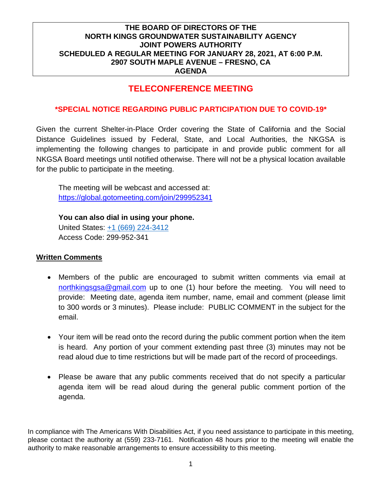# **TELECONFERENCE MEETING**

#### **\*SPECIAL NOTICE REGARDING PUBLIC PARTICIPATION DUE TO COVID-19\***

Given the current Shelter-in-Place Order covering the State of California and the Social Distance Guidelines issued by Federal, State, and Local Authorities, the NKGSA is implementing the following changes to participate in and provide public comment for all NKGSA Board meetings until notified otherwise. There will not be a physical location available for the public to participate in the meeting.

The meeting will be webcast and accessed at: <https://global.gotomeeting.com/join/299952341>

**You can also dial in using your phone.** United States: [+1 \(669\) 224-3412](tel:+16692243412,,299952341)

Access Code: 299-952-341

#### **Written Comments**

- Members of the public are encouraged to submit written comments via email at [northkingsgsa@gmail.com](mailto:northkingsgsa@gmail.com) up to one (1) hour before the meeting. You will need to provide: Meeting date, agenda item number, name, email and comment (please limit to 300 words or 3 minutes). Please include: PUBLIC COMMENT in the subject for the email.
- Your item will be read onto the record during the public comment portion when the item is heard. Any portion of your comment extending past three (3) minutes may not be read aloud due to time restrictions but will be made part of the record of proceedings.
- Please be aware that any public comments received that do not specify a particular agenda item will be read aloud during the general public comment portion of the agenda.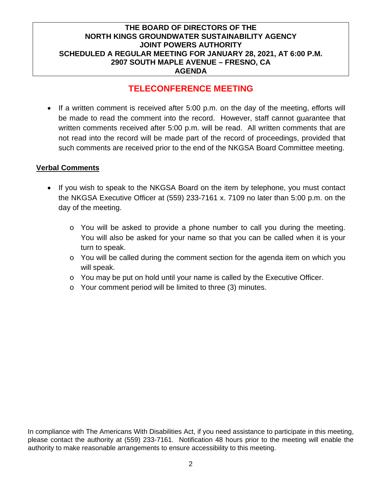# **TELECONFERENCE MEETING**

• If a written comment is received after 5:00 p.m. on the day of the meeting, efforts will be made to read the comment into the record. However, staff cannot guarantee that written comments received after 5:00 p.m. will be read. All written comments that are not read into the record will be made part of the record of proceedings, provided that such comments are received prior to the end of the NKGSA Board Committee meeting.

#### **Verbal Comments**

- If you wish to speak to the NKGSA Board on the item by telephone, you must contact the NKGSA Executive Officer at (559) 233-7161 x. 7109 no later than 5:00 p.m. on the day of the meeting.
	- o You will be asked to provide a phone number to call you during the meeting. You will also be asked for your name so that you can be called when it is your turn to speak.
	- $\circ$  You will be called during the comment section for the agenda item on which you will speak.
	- $\circ$  You may be put on hold until your name is called by the Executive Officer.
	- o Your comment period will be limited to three (3) minutes.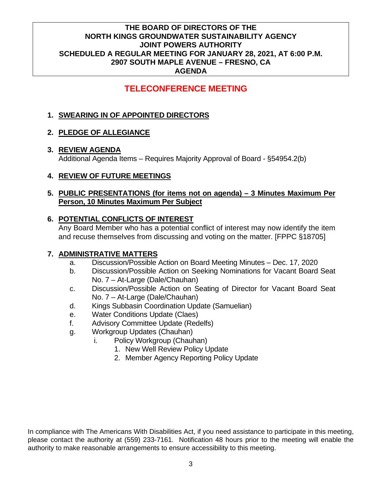# **TELECONFERENCE MEETING**

# **1. SWEARING IN OF APPOINTED DIRECTORS**

## **2. PLEDGE OF ALLEGIANCE**

### **3. REVIEW AGENDA**

Additional Agenda Items – Requires Majority Approval of Board - §54954.2(b)

## **4. REVIEW OF FUTURE MEETINGS**

### **5. PUBLIC PRESENTATIONS (for items not on agenda) – 3 Minutes Maximum Per Person, 10 Minutes Maximum Per Subject**

## **6. POTENTIAL CONFLICTS OF INTEREST**

Any Board Member who has a potential conflict of interest may now identify the item and recuse themselves from discussing and voting on the matter. [FPPC §18705]

## **7. ADMINISTRATIVE MATTERS**

- a. Discussion/Possible Action on Board Meeting Minutes Dec. 17, 2020
- b. Discussion/Possible Action on Seeking Nominations for Vacant Board Seat No. 7 – At-Large (Dale/Chauhan)
- c. Discussion/Possible Action on Seating of Director for Vacant Board Seat No. 7 – At-Large (Dale/Chauhan)
- d. Kings Subbasin Coordination Update (Samuelian)
- e. Water Conditions Update (Claes)
- f. Advisory Committee Update (Redelfs)
- g. Workgroup Updates (Chauhan)
	- i. Policy Workgroup (Chauhan)
		- 1. New Well Review Policy Update
		- 2. Member Agency Reporting Policy Update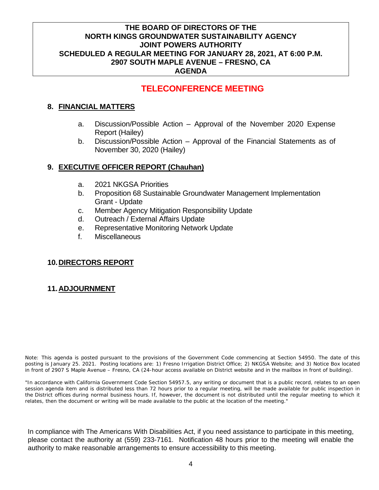# **TELECONFERENCE MEETING**

# **8. FINANCIAL MATTERS**

- a. Discussion/Possible Action Approval of the November 2020 Expense Report (Hailey)
- b. Discussion/Possible Action Approval of the Financial Statements as of November 30, 2020 (Hailey)

## **9. EXECUTIVE OFFICER REPORT (Chauhan)**

- a. 2021 NKGSA Priorities
- b. Proposition 68 Sustainable Groundwater Management Implementation Grant - Update
- c. Member Agency Mitigation Responsibility Update
- d. Outreach / External Affairs Update
- e. Representative Monitoring Network Update
- f. Miscellaneous

## **10.DIRECTORS REPORT**

# **11.ADJOURNMENT**

Note: This agenda is posted pursuant to the provisions of the Government Code commencing at Section 54950. The date of this posting is January 25. 2021. Posting locations are: 1) Fresno Irrigation District Office; 2) NKGSA Website; and 3) Notice Box located in front of 2907 S Maple Avenue – Fresno, CA (24-hour access available on District website and in the mailbox in front of building).

"In accordance with California Government Code Section 54957.5, any writing or document that is a public record, relates to an open session agenda item and is distributed less than 72 hours prior to a regular meeting, will be made available for public inspection in the District offices during normal business hours. If, however, the document is not distributed until the regular meeting to which it relates, then the document or writing will be made available to the public at the location of the meeting."